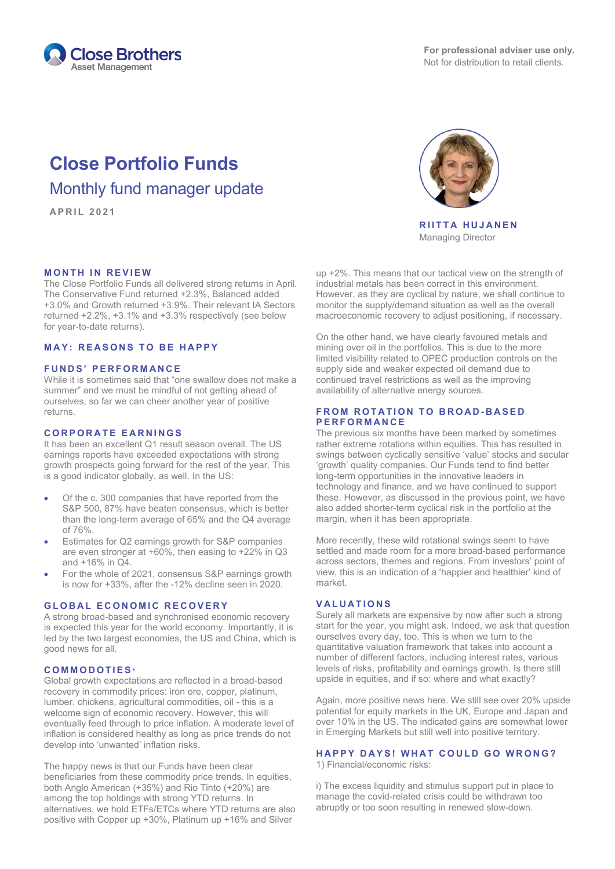

# **Close Portfolio Funds** Monthly fund manager update

**APRIL 202 1**

### **MONTH IN REVIEW**

The Close Portfolio Funds all delivered strong returns in April. The Conservative Fund returned +2.3%, Balanced added +3.0% and Growth returned +3.9%. Their relevant IA Sectors returned +2.2%, +3.1% and +3.3% respectively (see below for year-to-date returns).

### **MAY: REASONS TO BE HAPPY**

# **F UNDS' PERFORMANCE**

While it is sometimes said that "one swallow does not make a summer" and we must be mindful of not getting ahead of ourselves, so far we can cheer another year of positive returns.

#### **CORPORATE EARNINGS**

It has been an excellent Q1 result season overall. The US earnings reports have exceeded expectations with strong growth prospects going forward for the rest of the year. This is a good indicator globally, as well. In the US:

- Of the c. 300 companies that have reported from the S&P 500, 87% have beaten consensus, which is better than the long-term average of 65% and the Q4 average of 76%.
- Estimates for Q2 earnings growth for S&P companies are even stronger at +60%, then easing to +22% in Q3 and  $+16\%$  in  $Q4$ .
- For the whole of 2021, consensus S&P earnings growth is now for +33%, after the -12% decline seen in 2020.

#### **GLOBAL ECONOMIC RECOVERY**

A strong broad-based and synchronised economic recovery is expected this year for the world economy. Importantly, it is led by the two largest economies, the US and China, which is good news for all.

#### **COMMODOTIES\***

Global growth expectations are reflected in a broad-based recovery in commodity prices: iron ore, copper, platinum, lumber, chickens, agricultural commodities, oil - this is a welcome sign of economic recovery. However, this will eventually feed through to price inflation. A moderate level of inflation is considered healthy as long as price trends do not develop into 'unwanted' inflation risks.

The happy news is that our Funds have been clear beneficiaries from these commodity price trends. In equities, both Anglo American (+35%) and Rio Tinto (+20%) are among the top holdings with strong YTD returns. In alternatives, we hold ETFs/ETCs where YTD returns are also positive with Copper up +30%, Platinum up +16% and Silver



**RIITTA HUJANEN** Managing Director

up +2%. This means that our tactical view on the strength of industrial metals has been correct in this environment. However, as they are cyclical by nature, we shall continue to monitor the supply/demand situation as well as the overall macroeconomic recovery to adjust positioning, if necessary.

On the other hand, we have clearly favoured metals and mining over oil in the portfolios. This is due to the more limited visibility related to OPEC production controls on the supply side and weaker expected oil demand due to continued travel restrictions as well as the improving availability of alternative energy sources.

### **FROM ROTATION TO BROAD-BASED PERFO RMANCE**

The previous six months have been marked by sometimes rather extreme rotations within equities. This has resulted in swings between cyclically sensitive 'value' stocks and secular 'growth' quality companies. Our Funds tend to find better long-term opportunities in the innovative leaders in technology and finance, and we have continued to support these. However, as discussed in the previous point, we have also added shorter-term cyclical risk in the portfolio at the margin, when it has been appropriate.

More recently, these wild rotational swings seem to have settled and made room for a more broad-based performance across sectors, themes and regions. From investors' point of view, this is an indication of a 'happier and healthier' kind of market.

## **VALUATIONS**

Surely all markets are expensive by now after such a strong start for the year, you might ask. Indeed, we ask that question ourselves every day, too. This is when we turn to the quantitative valuation framework that takes into account a number of different factors, including interest rates, various levels of risks, profitability and earnings growth. Is there still upside in equities, and if so: where and what exactly?

Again, more positive news here. We still see over 20% upside potential for equity markets in the UK, Europe and Japan and over 10% in the US. The indicated gains are somewhat lower in Emerging Markets but still well into positive territory.

# **HAPPY DAYS! WHAT COULD GO WRONG?**

1) Financial/economic risks:

i) The excess liquidity and stimulus support put in place to manage the covid-related crisis could be withdrawn too abruptly or too soon resulting in renewed slow-down.